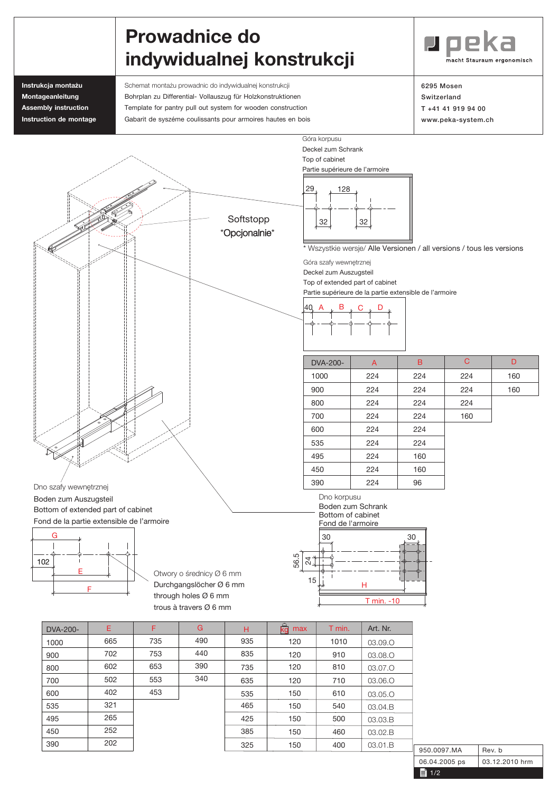## Prowadnice do indywidualnej konstrukcji



Instrukcja montażu **Montageanleitung Assembly instruction Instruction de montage** Schemat montażu prowadnic do indywidualnej konstrukcji Bohrplan zu Differential- Vollauszug für Holzkonstruktionen Template for pantry pull out system for wooden construction Gabarit de syszéme coulissants pour armoires hautes en bois 6295 Mosen Switzerland T +41 41 919 94 00 www.peka-system.ch



Durchgangslöcher Ø 6 mm through holes Ø 6 mm trous à travers Ø 6 mm

F

| F   | G   | н   | max<br>ka | T min. | Art. Nr. |
|-----|-----|-----|-----------|--------|----------|
| 735 | 490 | 935 | 120       | 1010   | 03.09.O  |
| 753 | 440 | 835 | 120       | 910    | 03.08.O  |
| 653 | 390 | 735 | 120       | 810    | 03.07.O  |
| 553 | 340 | 635 | 120       | 710    | 03.06.O  |
| 453 |     | 535 | 150       | 610    | 03.05.O  |
|     |     | 465 | 150       | 540    | 03.04.B  |
|     |     | 425 | 150       | 500    | 03.03.B  |
|     |     | 385 | 150       | 460    | 03.02.B  |
|     |     | 325 | 150       | 400    | 03.01.B  |



T min. -10